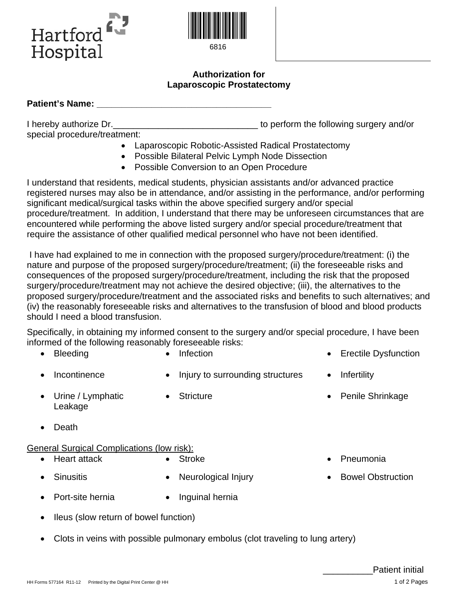



6816

## **Authorization for Laparoscopic Prostatectomy**

## **Patient's Name:**  $\blacksquare$

I hereby authorize Dr.  $\blacksquare$ special procedure/treatment:

- Laparoscopic Robotic-Assisted Radical Prostatectomy
- Possible Bilateral Pelvic Lymph Node Dissection
- Possible Conversion to an Open Procedure

I understand that residents, medical students, physician assistants and/or advanced practice registered nurses may also be in attendance, and/or assisting in the performance, and/or performing significant medical/surgical tasks within the above specified surgery and/or special procedure/treatment. In addition, I understand that there may be unforeseen circumstances that are encountered while performing the above listed surgery and/or special procedure/treatment that require the assistance of other qualified medical personnel who have not been identified.

I have had explained to me in connection with the proposed surgery/procedure/treatment: (i) the nature and purpose of the proposed surgery/procedure/treatment; (ii) the foreseeable risks and consequences of the proposed surgery/procedure/treatment, including the risk that the proposed surgery/procedure/treatment may not achieve the desired objective; (iii), the alternatives to the proposed surgery/procedure/treatment and the associated risks and benefits to such alternatives; and (iv) the reasonably foreseeable risks and alternatives to the transfusion of blood and blood products should I need a blood transfusion.

Specifically, in obtaining my informed consent to the surgery and/or special procedure, I have been informed of the following reasonably foreseeable risks:

- 
- Bleeding Infection Infection Erectile Dysfunction
- 

Leakage

- -
- 
- Incontinence Injury to surrounding structures Infertility

• Urine / Lymphatic

- 
- Stricture Penile Shrinkage

• Death

## General Surgical Complications (low risk):

- Heart attack Stroke Pneumonia
	-
- 
- 
- 
- Sinusitis Neurological Injury Bowel Obstruction
- Port-site hernia Inguinal hernia
	-
- Ileus (slow return of bowel function)
- Clots in veins with possible pulmonary embolus (clot traveling to lung artery)